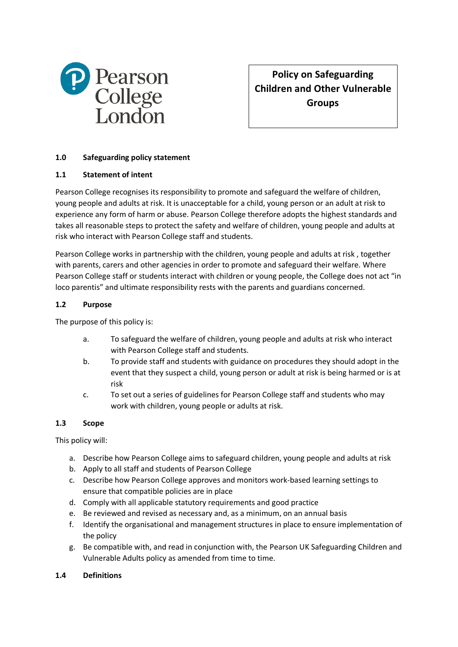

**Policy on Safeguarding Children and Other Vulnerable Groups**

# **1.0 Safeguarding policy statement**

#### **1.1 Statement of intent**

Pearson College recognises its responsibility to promote and safeguard the welfare of children, young people and adults at risk. It is unacceptable for a child, young person or an adult at risk to experience any form of harm or abuse. Pearson College therefore adopts the highest standards and takes all reasonable steps to protect the safety and welfare of children, young people and adults at risk who interact with Pearson College staff and students.

Pearson College works in partnership with the children, young people and adults at risk , together with parents, carers and other agencies in order to promote and safeguard their welfare. Where Pearson College staff or students interact with children or young people, the College does not act "in loco parentis" and ultimate responsibility rests with the parents and guardians concerned.

#### **1.2 Purpose**

The purpose of this policy is:

- a. To safeguard the welfare of children, young people and adults at risk who interact with Pearson College staff and students.
- b. To provide staff and students with guidance on procedures they should adopt in the event that they suspect a child, young person or adult at risk is being harmed or is at risk
- c. To set out a series of guidelines for Pearson College staff and students who may work with children, young people or adults at risk.

#### **1.3 Scope**

This policy will:

- a. Describe how Pearson College aims to safeguard children, young people and adults at risk
- b. Apply to all staff and students of Pearson College
- c. Describe how Pearson College approves and monitors work-based learning settings to ensure that compatible policies are in place
- d. Comply with all applicable statutory requirements and good practice
- e. Be reviewed and revised as necessary and, as a minimum, on an annual basis
- f. Identify the organisational and management structures in place to ensure implementation of the policy
- g. Be compatible with, and read in conjunction with, the Pearson UK Safeguarding Children and Vulnerable Adults policy as amended from time to time.

#### **1.4 Definitions**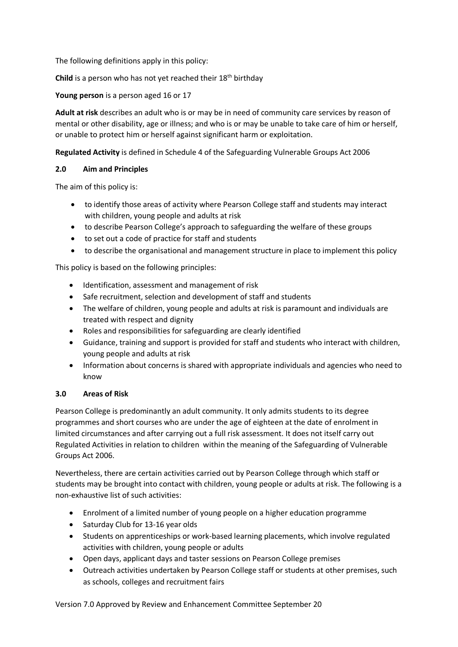The following definitions apply in this policy:

**Child** is a person who has not yet reached their 18th birthday

**Young person** is a person aged 16 or 17

**Adult at risk** describes an adult who is or may be in need of community care services by reason of mental or other disability, age or illness; and who is or may be unable to take care of him or herself, or unable to protect him or herself against significant harm or exploitation.

**Regulated Activity** is defined in Schedule 4 of the Safeguarding Vulnerable Groups Act 2006

#### **2.0 Aim and Principles**

The aim of this policy is:

- to identify those areas of activity where Pearson College staff and students may interact with children, young people and adults at risk
- to describe Pearson College's approach to safeguarding the welfare of these groups
- to set out a code of practice for staff and students
- to describe the organisational and management structure in place to implement this policy

This policy is based on the following principles:

- Identification, assessment and management of risk
- Safe recruitment, selection and development of staff and students
- The welfare of children, young people and adults at risk is paramount and individuals are treated with respect and dignity
- Roles and responsibilities for safeguarding are clearly identified
- Guidance, training and support is provided for staff and students who interact with children, young people and adults at risk
- Information about concerns is shared with appropriate individuals and agencies who need to know

# **3.0 Areas of Risk**

Pearson College is predominantly an adult community. It only admits students to its degree programmes and short courses who are under the age of eighteen at the date of enrolment in limited circumstances and after carrying out a full risk assessment. It does not itself carry out Regulated Activities in relation to children within the meaning of the Safeguarding of Vulnerable Groups Act 2006.

Nevertheless, there are certain activities carried out by Pearson College through which staff or students may be brought into contact with children, young people or adults at risk. The following is a non-exhaustive list of such activities:

- Enrolment of a limited number of young people on a higher education programme
- Saturday Club for 13-16 year olds
- Students on apprenticeships or work-based learning placements, which involve regulated activities with children, young people or adults
- Open days, applicant days and taster sessions on Pearson College premises
- Outreach activities undertaken by Pearson College staff or students at other premises, such as schools, colleges and recruitment fairs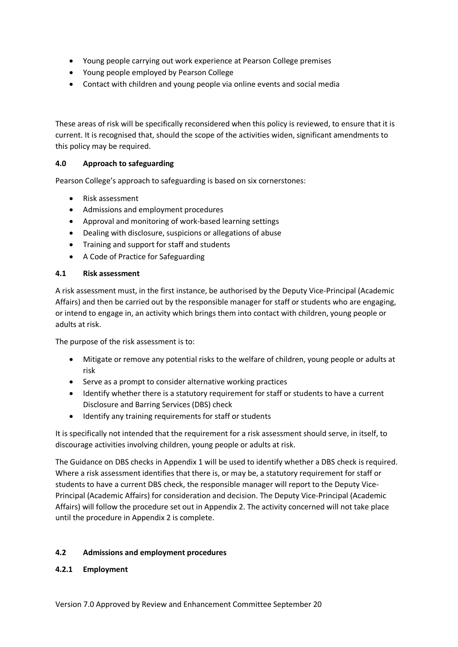- Young people carrying out work experience at Pearson College premises
- Young people employed by Pearson College
- Contact with children and young people via online events and social media

These areas of risk will be specifically reconsidered when this policy is reviewed, to ensure that it is current. It is recognised that, should the scope of the activities widen, significant amendments to this policy may be required.

# **4.0 Approach to safeguarding**

Pearson College's approach to safeguarding is based on six cornerstones:

- Risk assessment
- Admissions and employment procedures
- Approval and monitoring of work-based learning settings
- Dealing with disclosure, suspicions or allegations of abuse
- Training and support for staff and students
- A Code of Practice for Safeguarding

### **4.1 Risk assessment**

A risk assessment must, in the first instance, be authorised by the Deputy Vice-Principal (Academic Affairs) and then be carried out by the responsible manager for staff or students who are engaging, or intend to engage in, an activity which brings them into contact with children, young people or adults at risk.

The purpose of the risk assessment is to:

- Mitigate or remove any potential risks to the welfare of children, young people or adults at risk
- Serve as a prompt to consider alternative working practices
- Identify whether there is a statutory requirement for staff or students to have a current Disclosure and Barring Services (DBS) check
- Identify any training requirements for staff or students

It is specifically not intended that the requirement for a risk assessment should serve, in itself, to discourage activities involving children, young people or adults at risk.

The Guidance on DBS checks in Appendix 1 will be used to identify whether a DBS check is required. Where a risk assessment identifies that there is, or may be, a statutory requirement for staff or students to have a current DBS check, the responsible manager will report to the Deputy Vice-Principal (Academic Affairs) for consideration and decision. The Deputy Vice-Principal (Academic Affairs) will follow the procedure set out in Appendix 2. The activity concerned will not take place until the procedure in Appendix 2 is complete.

# **4.2 Admissions and employment procedures**

# **4.2.1 Employment**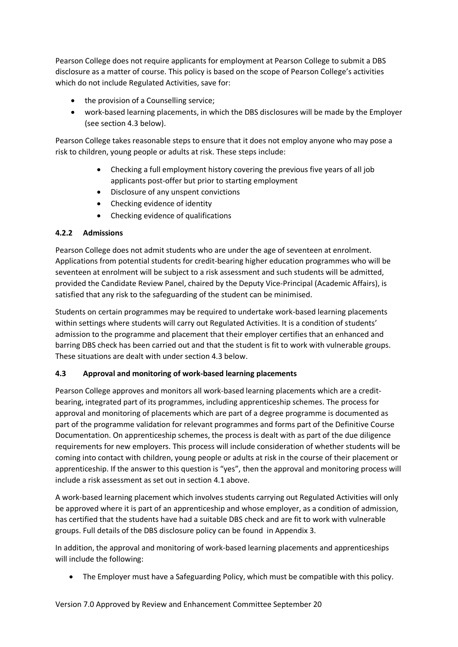Pearson College does not require applicants for employment at Pearson College to submit a DBS disclosure as a matter of course. This policy is based on the scope of Pearson College's activities which do not include Regulated Activities, save for:

- the provision of a Counselling service;
- work-based learning placements, in which the DBS disclosures will be made by the Employer (see section 4.3 below).

Pearson College takes reasonable steps to ensure that it does not employ anyone who may pose a risk to children, young people or adults at risk. These steps include:

- Checking a full employment history covering the previous five years of all job applicants post-offer but prior to starting employment
- Disclosure of any unspent convictions
- Checking evidence of identity
- Checking evidence of qualifications

# **4.2.2 Admissions**

Pearson College does not admit students who are under the age of seventeen at enrolment. Applications from potential students for credit-bearing higher education programmes who will be seventeen at enrolment will be subject to a risk assessment and such students will be admitted, provided the Candidate Review Panel, chaired by the Deputy Vice-Principal (Academic Affairs), is satisfied that any risk to the safeguarding of the student can be minimised.

Students on certain programmes may be required to undertake work-based learning placements within settings where students will carry out Regulated Activities. It is a condition of students' admission to the programme and placement that their employer certifies that an enhanced and barring DBS check has been carried out and that the student is fit to work with vulnerable groups. These situations are dealt with under section 4.3 below.

# **4.3 Approval and monitoring of work-based learning placements**

Pearson College approves and monitors all work-based learning placements which are a creditbearing, integrated part of its programmes, including apprenticeship schemes. The process for approval and monitoring of placements which are part of a degree programme is documented as part of the programme validation for relevant programmes and forms part of the Definitive Course Documentation. On apprenticeship schemes, the process is dealt with as part of the due diligence requirements for new employers. This process will include consideration of whether students will be coming into contact with children, young people or adults at risk in the course of their placement or apprenticeship. If the answer to this question is "yes", then the approval and monitoring process will include a risk assessment as set out in section 4.1 above.

A work-based learning placement which involves students carrying out Regulated Activities will only be approved where it is part of an apprenticeship and whose employer, as a condition of admission, has certified that the students have had a suitable DBS check and are fit to work with vulnerable groups. Full details of the DBS disclosure policy can be found in Appendix 3.

In addition, the approval and monitoring of work-based learning placements and apprenticeships will include the following:

• The Employer must have a Safeguarding Policy, which must be compatible with this policy.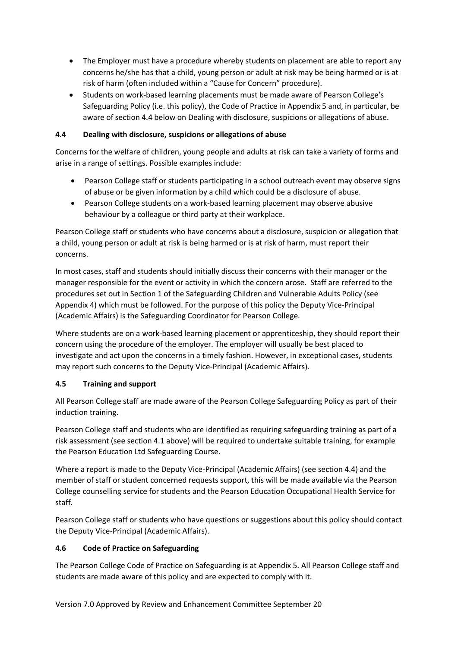- The Employer must have a procedure whereby students on placement are able to report any concerns he/she has that a child, young person or adult at risk may be being harmed or is at risk of harm (often included within a "Cause for Concern" procedure).
- Students on work-based learning placements must be made aware of Pearson College's Safeguarding Policy (i.e. this policy), the Code of Practice in Appendix 5 and, in particular, be aware of section 4.4 below on Dealing with disclosure, suspicions or allegations of abuse.

# **4.4 Dealing with disclosure, suspicions or allegations of abuse**

Concerns for the welfare of children, young people and adults at risk can take a variety of forms and arise in a range of settings. Possible examples include:

- Pearson College staff or students participating in a school outreach event may observe signs of abuse or be given information by a child which could be a disclosure of abuse.
- Pearson College students on a work-based learning placement may observe abusive behaviour by a colleague or third party at their workplace.

Pearson College staff or students who have concerns about a disclosure, suspicion or allegation that a child, young person or adult at risk is being harmed or is at risk of harm, must report their concerns.

In most cases, staff and students should initially discuss their concerns with their manager or the manager responsible for the event or activity in which the concern arose. Staff are referred to the procedures set out in Section 1 of the Safeguarding Children and Vulnerable Adults Policy (see Appendix 4) which must be followed. For the purpose of this policy the Deputy Vice-Principal (Academic Affairs) is the Safeguarding Coordinator for Pearson College.

Where students are on a work-based learning placement or apprenticeship, they should report their concern using the procedure of the employer. The employer will usually be best placed to investigate and act upon the concerns in a timely fashion. However, in exceptional cases, students may report such concerns to the Deputy Vice-Principal (Academic Affairs).

# **4.5 Training and support**

All Pearson College staff are made aware of the Pearson College Safeguarding Policy as part of their induction training.

Pearson College staff and students who are identified as requiring safeguarding training as part of a risk assessment (see section 4.1 above) will be required to undertake suitable training, for example the Pearson Education Ltd Safeguarding Course.

Where a report is made to the Deputy Vice-Principal (Academic Affairs) (see section 4.4) and the member of staff or student concerned requests support, this will be made available via the Pearson College counselling service for students and the Pearson Education Occupational Health Service for staff.

Pearson College staff or students who have questions or suggestions about this policy should contact the Deputy Vice-Principal (Academic Affairs).

# **4.6 Code of Practice on Safeguarding**

The Pearson College Code of Practice on Safeguarding is at Appendix 5. All Pearson College staff and students are made aware of this policy and are expected to comply with it.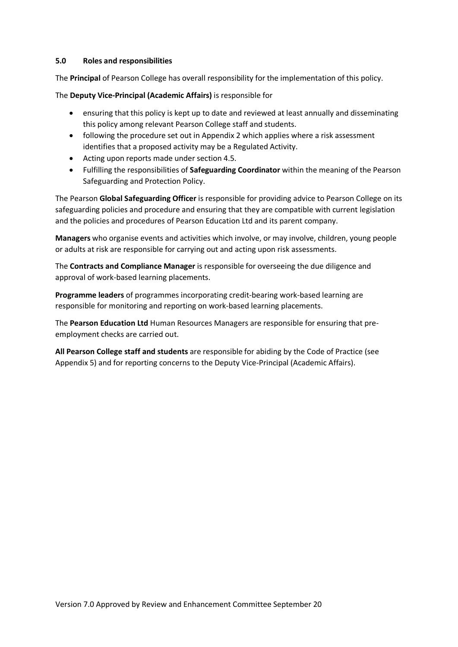#### **5.0 Roles and responsibilities**

The **Principal** of Pearson College has overall responsibility for the implementation of this policy.

The **Deputy Vice-Principal (Academic Affairs)** is responsible for

- ensuring that this policy is kept up to date and reviewed at least annually and disseminating this policy among relevant Pearson College staff and students.
- following the procedure set out in Appendix 2 which applies where a risk assessment identifies that a proposed activity may be a Regulated Activity.
- Acting upon reports made under section 4.5.
- Fulfilling the responsibilities of **Safeguarding Coordinator** within the meaning of the Pearson Safeguarding and Protection Policy.

The Pearson **Global Safeguarding Officer** is responsible for providing advice to Pearson College on its safeguarding policies and procedure and ensuring that they are compatible with current legislation and the policies and procedures of Pearson Education Ltd and its parent company.

**Managers** who organise events and activities which involve, or may involve, children, young people or adults at risk are responsible for carrying out and acting upon risk assessments.

The **Contracts and Compliance Manager** is responsible for overseeing the due diligence and approval of work-based learning placements.

**Programme leaders** of programmes incorporating credit-bearing work-based learning are responsible for monitoring and reporting on work-based learning placements.

The **Pearson Education Ltd** Human Resources Managers are responsible for ensuring that preemployment checks are carried out.

**All Pearson College staff and students** are responsible for abiding by the Code of Practice (see Appendix 5) and for reporting concerns to the Deputy Vice-Principal (Academic Affairs).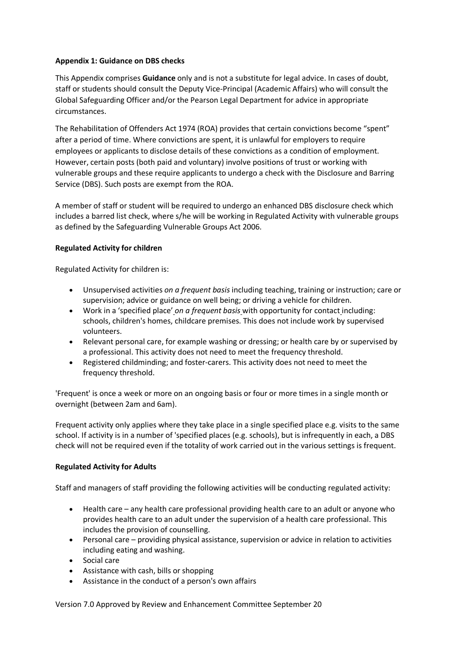### **Appendix 1: Guidance on DBS checks**

This Appendix comprises **Guidance** only and is not a substitute for legal advice. In cases of doubt, staff or students should consult the Deputy Vice-Principal (Academic Affairs) who will consult the Global Safeguarding Officer and/or the Pearson Legal Department for advice in appropriate circumstances.

The Rehabilitation of Offenders Act 1974 (ROA) provides that certain convictions become "spent" after a period of time. Where convictions are spent, it is unlawful for employers to require employees or applicants to disclose details of these convictions as a condition of employment. However, certain posts (both paid and voluntary) involve positions of trust or working with vulnerable groups and these require applicants to undergo a check with the Disclosure and Barring Service (DBS). Such posts are exempt from the ROA.

A member of staff or student will be required to undergo an enhanced DBS disclosure check which includes a barred list check, where s/he will be working in Regulated Activity with vulnerable groups as defined by the Safeguarding Vulnerable Groups Act 2006.

### **Regulated Activity for children**

Regulated Activity for children is:

- Unsupervised activities *on a frequent basis* including teaching, training or instruction; care or supervision; advice or guidance on well being; or driving a vehicle for children.
- Work in a 'specified place' *on a frequent basis* with opportunity for contact including: schools, children's homes, childcare premises. This does not include work by supervised volunteers.
- Relevant personal care, for example washing or dressing; or health care by or supervised by a professional. This activity does not need to meet the frequency threshold.
- Registered childminding; and foster-carers. This activity does not need to meet the frequency threshold.

'Frequent' is once a week or more on an ongoing basis or four or more times in a single month or overnight (between 2am and 6am).

Frequent activity only applies where they take place in a single specified place e.g. visits to the same school. If activity is in a number of 'specified places (e.g. schools), but is infrequently in each, a DBS check will not be required even if the totality of work carried out in the various settings is frequent.

# **Regulated Activity for Adults**

Staff and managers of staff providing the following activities will be conducting regulated activity:

- Health care any health care professional providing health care to an adult or anyone who provides health care to an adult under the supervision of a health care professional. This includes the provision of counselling.
- Personal care providing physical assistance, supervision or advice in relation to activities including eating and washing.
- Social care
- Assistance with cash, bills or shopping
- Assistance in the conduct of a person's own affairs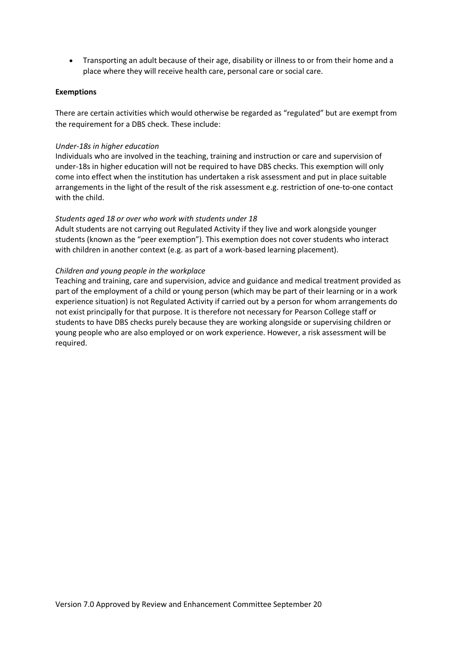• Transporting an adult because of their age, disability or illness to or from their home and a place where they will receive health care, personal care or social care.

#### **Exemptions**

There are certain activities which would otherwise be regarded as "regulated" but are exempt from the requirement for a DBS check. These include:

#### *Under-18s in higher education*

Individuals who are involved in the teaching, training and instruction or care and supervision of under-18s in higher education will not be required to have DBS checks. This exemption will only come into effect when the institution has undertaken a risk assessment and put in place suitable arrangements in the light of the result of the risk assessment e.g. restriction of one-to-one contact with the child.

#### *Students aged 18 or over who work with students under 18*

Adult students are not carrying out Regulated Activity if they live and work alongside younger students (known as the "peer exemption"). This exemption does not cover students who interact with children in another context (e.g. as part of a work-based learning placement).

#### *Children and young people in the workplace*

Teaching and training, care and supervision, advice and guidance and medical treatment provided as part of the employment of a child or young person (which may be part of their learning or in a work experience situation) is not Regulated Activity if carried out by a person for whom arrangements do not exist principally for that purpose. It is therefore not necessary for Pearson College staff or students to have DBS checks purely because they are working alongside or supervising children or young people who are also employed or on work experience. However, a risk assessment will be required.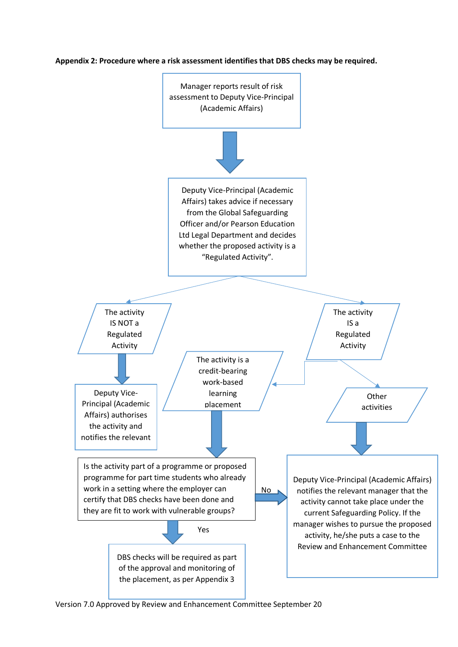

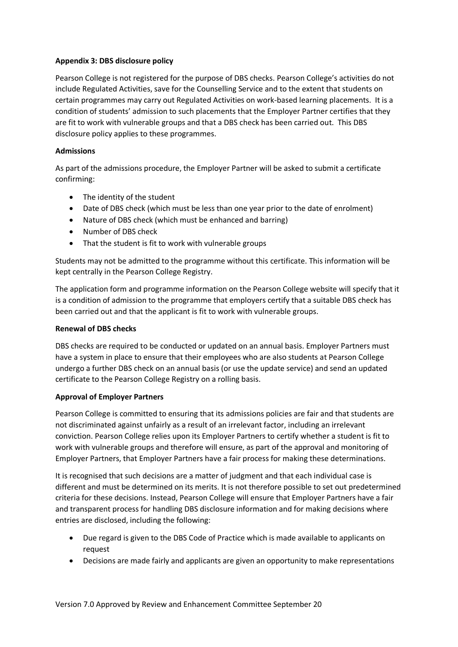# **Appendix 3: DBS disclosure policy**

Pearson College is not registered for the purpose of DBS checks. Pearson College's activities do not include Regulated Activities, save for the Counselling Service and to the extent that students on certain programmes may carry out Regulated Activities on work-based learning placements. It is a condition of students' admission to such placements that the Employer Partner certifies that they are fit to work with vulnerable groups and that a DBS check has been carried out. This DBS disclosure policy applies to these programmes.

### **Admissions**

As part of the admissions procedure, the Employer Partner will be asked to submit a certificate confirming:

- The identity of the student
- Date of DBS check (which must be less than one year prior to the date of enrolment)
- Nature of DBS check (which must be enhanced and barring)
- Number of DBS check
- That the student is fit to work with vulnerable groups

Students may not be admitted to the programme without this certificate. This information will be kept centrally in the Pearson College Registry.

The application form and programme information on the Pearson College website will specify that it is a condition of admission to the programme that employers certify that a suitable DBS check has been carried out and that the applicant is fit to work with vulnerable groups.

#### **Renewal of DBS checks**

DBS checks are required to be conducted or updated on an annual basis. Employer Partners must have a system in place to ensure that their employees who are also students at Pearson College undergo a further DBS check on an annual basis (or use the update service) and send an updated certificate to the Pearson College Registry on a rolling basis.

# **Approval of Employer Partners**

Pearson College is committed to ensuring that its admissions policies are fair and that students are not discriminated against unfairly as a result of an irrelevant factor, including an irrelevant conviction. Pearson College relies upon its Employer Partners to certify whether a student is fit to work with vulnerable groups and therefore will ensure, as part of the approval and monitoring of Employer Partners, that Employer Partners have a fair process for making these determinations.

It is recognised that such decisions are a matter of judgment and that each individual case is different and must be determined on its merits. It is not therefore possible to set out predetermined criteria for these decisions. Instead, Pearson College will ensure that Employer Partners have a fair and transparent process for handling DBS disclosure information and for making decisions where entries are disclosed, including the following:

- Due regard is given to the DBS Code of Practice which is made available to applicants on request
- Decisions are made fairly and applicants are given an opportunity to make representations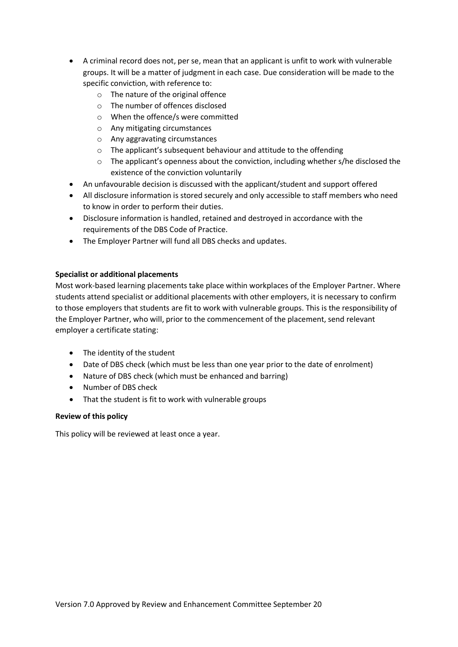- A criminal record does not, per se, mean that an applicant is unfit to work with vulnerable groups. It will be a matter of judgment in each case. Due consideration will be made to the specific conviction, with reference to:
	- o The nature of the original offence
	- o The number of offences disclosed
	- o When the offence/s were committed
	- o Any mitigating circumstances
	- o Any aggravating circumstances
	- o The applicant's subsequent behaviour and attitude to the offending
	- o The applicant's openness about the conviction, including whether s/he disclosed the existence of the conviction voluntarily
- An unfavourable decision is discussed with the applicant/student and support offered
- All disclosure information is stored securely and only accessible to staff members who need to know in order to perform their duties.
- Disclosure information is handled, retained and destroyed in accordance with the requirements of the DBS Code of Practice.
- The Employer Partner will fund all DBS checks and updates.

# **Specialist or additional placements**

Most work-based learning placements take place within workplaces of the Employer Partner. Where students attend specialist or additional placements with other employers, it is necessary to confirm to those employers that students are fit to work with vulnerable groups. This is the responsibility of the Employer Partner, who will, prior to the commencement of the placement, send relevant employer a certificate stating:

- The identity of the student
- Date of DBS check (which must be less than one year prior to the date of enrolment)
- Nature of DBS check (which must be enhanced and barring)
- Number of DBS check
- That the student is fit to work with vulnerable groups

# **Review of this policy**

This policy will be reviewed at least once a year.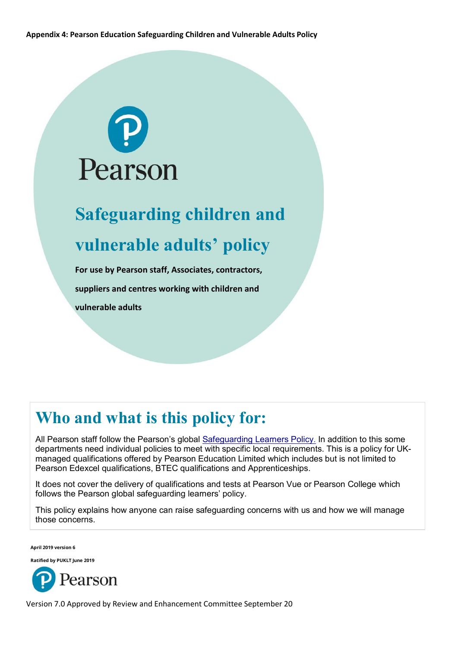**Appendix 4: Pearson Education Safeguarding Children and Vulnerable Adults Policy**



# **Safeguarding children and vulnerable adults' policy**

**For use by Pearson staff, Associates, contractors, suppliers and centres working with children and vulnerable adults**

# **Who and what is this policy for:**

All Pearson staff follow the Pearson's global [Safeguarding Learners Policy.](https://neo.pearson.com/docs/DOC-620134-safeguarding-policies) In addition to this some departments need individual policies to meet with specific local requirements. This is a policy for UKmanaged qualifications offered by Pearson Education Limited which includes but is not limited to Pearson Edexcel qualifications, BTEC qualifications and Apprenticeships.

It does not cover the delivery of qualifications and tests at Pearson Vue or Pearson College which follows the Pearson global safeguarding learners' policy.

This policy explains how anyone can raise safeguarding concerns with us and how we will manage those concerns.

**April 2019 version 6**

**Ratified by PUKLT June 2019**

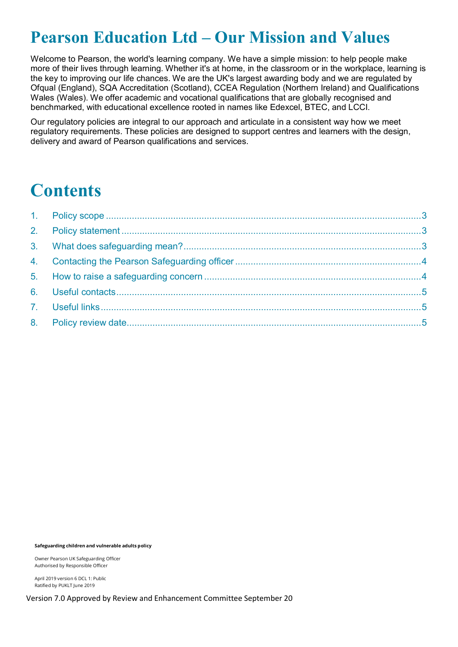# **Pearson Education Ltd – Our Mission and Values**

Welcome to Pearson, the world's learning company. We have a simple mission: to help people make more of their lives through learning. Whether it's at home, in the classroom or in the workplace, learning is the key to improving our life chances. We are the UK's largest awarding body and we are regulated by Ofqual (England), SQA Accreditation (Scotland), CCEA Regulation (Northern Ireland) and Qualifications Wales (Wales). We offer academic and vocational qualifications that are globally recognised and benchmarked, with educational excellence rooted in names like Edexcel, BTEC, and LCCI.

Our regulatory policies are integral to our approach and articulate in a consistent way how we meet regulatory requirements. These policies are designed to support centres and learners with the design, delivery and award of Pearson qualifications and services.

# **Contents**

**Safeguarding children and vulnerable adults policy**

Owner Pearson UK Safeguarding Officer Authorised by Responsible Officer

April 2019 version 6 DCL 1: Public Ratified by PUKLT June 2019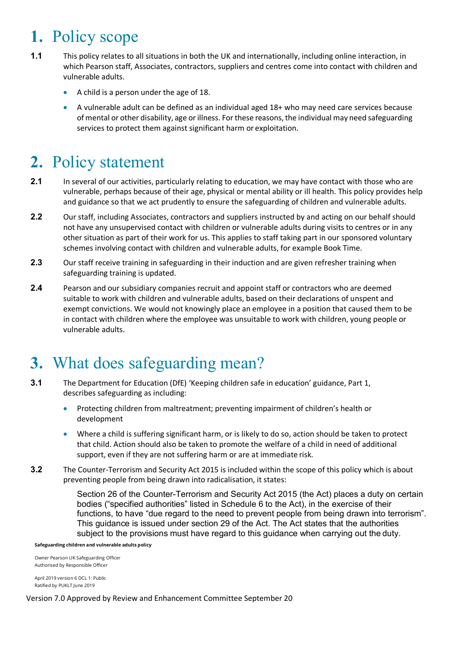# <span id="page-13-0"></span>**1.** Policy scope

- **1.1** This policy relates to all situations in both the UK and internationally, including online interaction, in which Pearson staff, Associates, contractors, suppliers and centres come into contact with children and vulnerable adults.
	- A child is a person under the age of 18.
	- A vulnerable adult can be defined as an individual aged 18+ who may need care services because of mental or other disability, age or illness. For these reasons, the individual may need safeguarding services to protect them against significant harm or exploitation.

# <span id="page-13-1"></span>**2.** Policy statement

- **2.1** In several of our activities, particularly relating to education, we may have contact with those who are vulnerable, perhaps because of their age, physical or mental ability or ill health. This policy provides help and guidance so that we act prudently to ensure the safeguarding of children and vulnerable adults.
- **2.2** Our staff, including Associates, contractors and suppliers instructed by and acting on our behalf should not have any unsupervised contact with children or vulnerable adults during visits to centres or in any other situation as part of their work for us. This applies to staff taking part in our sponsored voluntary schemes involving contact with children and vulnerable adults, for example Book Time.
- **2.3** Our staff receive training in safeguarding in their induction and are given refresher training when safeguarding training is updated.
- **2.4** Pearson and our subsidiary companies recruit and appoint staff or contractors who are deemed suitable to work with children and vulnerable adults, based on their declarations of unspent and exempt convictions. We would not knowingly place an employee in a position that caused them to be in contact with children where the employee was unsuitable to work with children, young people or vulnerable adults.

# <span id="page-13-2"></span>**3.** What does safeguarding mean?

- **3.1** The Department for Education (DfE) 'Keeping children safe in education' guidance, Part 1, describes safeguarding as including:
	- Protecting children from maltreatment; preventing impairment of children's health or development
	- Where a child is suffering significant harm, or is likely to do so, action should be taken to protect that child. Action should also be taken to promote the welfare of a child in need of additional support, even if they are not suffering harm or are at immediate risk.
- **3.2** The Counter-Terrorism and Security Act 2015 is included within the scope of this policy which is about preventing people from being drawn into radicalisation, it states:

Section 26 of the Counter-Terrorism and Security Act 2015 (the Act) places a duty on certain bodies ("specified authorities" listed in Schedule 6 to the Act), in the exercise of their functions, to have "due regard to the need to prevent people from being drawn into terrorism". This guidance is issued under section 29 of the Act. The Act states that the authorities subject to the provisions must have regard to this guidance when carrying out the duty.

**Safeguarding children and vulnerable adults policy**

Owner Pearson UK Safeguarding Officer Authorised by Responsible Officer

April 2019 version 6 DCL 1: Public Ratified by PUKLT June 2019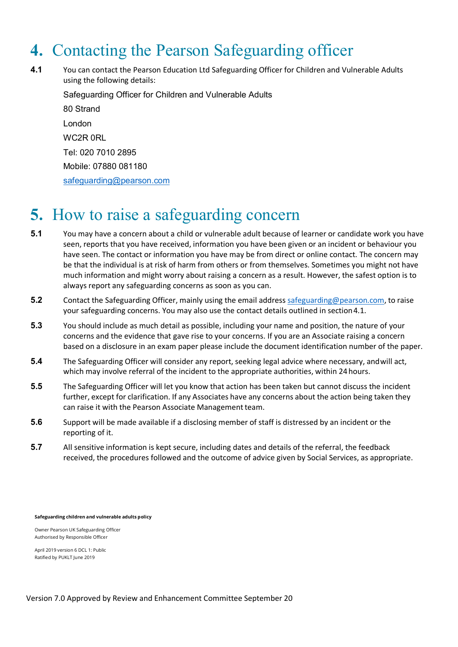# <span id="page-14-0"></span>**4.** Contacting the Pearson Safeguarding officer

**4.1** You can contact the Pearson Education Ltd Safeguarding Officer for Children and Vulnerable Adults using the following details:

Safeguarding Officer for Children and Vulnerable Adults 80 Strand London WC2R 0RL Tel: 020 7010 2895 Mobile: 07880 081180 [safeguarding@pearson.com](mailto:safeguarding@pearson.com)

# <span id="page-14-1"></span>**5.** How to raise a safeguarding concern

- **5.1** You may have a concern about a child or vulnerable adult because of learner or candidate work you have seen, reports that you have received, information you have been given or an incident or behaviour you have seen. The contact or information you have may be from direct or online contact. The concern may be that the individual is at risk of harm from others or from themselves. Sometimes you might not have much information and might worry about raising a concern as a result. However, the safest option is to always report any safeguarding concerns as soon as you can.
- **5.2** Contact the Safeguarding Officer, mainly using the email address [safeguarding@pearson.com,](mailto:safeguarding@pearson.com) to raise your safeguarding concerns. You may also use the contact details outlined in section4.1.
- **5.3** You should include as much detail as possible, including your name and position, the nature of your concerns and the evidence that gave rise to your concerns. If you are an Associate raising a concern based on a disclosure in an exam paper please include the document identification number of the paper.
- **5.4** The Safeguarding Officer will consider any report, seeking legal advice where necessary, andwill act, which may involve referral of the incident to the appropriate authorities, within 24hours.
- **5.5** The Safeguarding Officer will let you know that action has been taken but cannot discuss the incident further, except for clarification. If any Associates have any concerns about the action being taken they can raise it with the Pearson Associate Management team.
- **5.6** Support will be made available if a disclosing member of staff is distressed by an incident or the reporting of it.
- **5.7** All sensitive information is kept secure, including dates and details of the referral, the feedback received, the procedures followed and the outcome of advice given by Social Services, as appropriate.

**Safeguarding children and vulnerable adults policy**

Owner Pearson UK Safeguarding Officer Authorised by Responsible Officer

April 2019 version 6 DCL 1: Public Ratified by PUKLT June 2019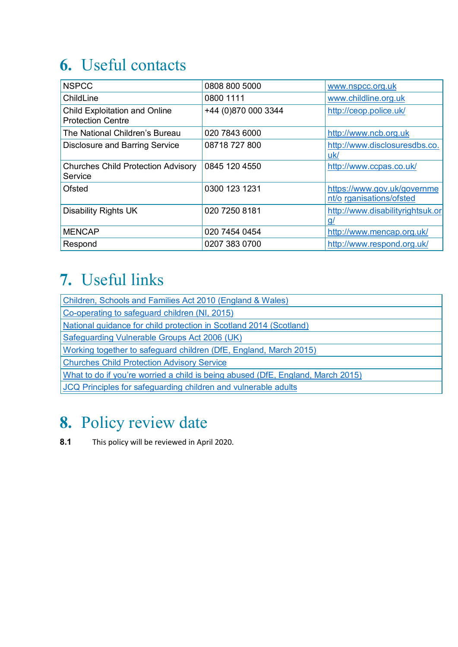# <span id="page-15-0"></span>**6.** Useful contacts

| <b>NSPCC</b>                                                     | 0808 800 5000       | www.nspcc.org.uk                                        |
|------------------------------------------------------------------|---------------------|---------------------------------------------------------|
| ChildLine                                                        | 0800 1111           | www.childline.org.uk                                    |
| <b>Child Exploitation and Online</b><br><b>Protection Centre</b> | +44 (0)870 000 3344 | http://ceop.police.uk/                                  |
| The National Children's Bureau                                   | 020 7843 6000       | http://www.ncb.org.uk                                   |
| <b>Disclosure and Barring Service</b>                            | 08718 727 800       | http://www.disclosuresdbs.co.<br>uk/                    |
| <b>Churches Child Protection Advisory</b><br>Service             | 0845 120 4550       | http://www.ccpas.co.uk/                                 |
| Ofsted                                                           | 0300 123 1231       | https://www.gov.uk/governme<br>nt/o rganisations/ofsted |
| <b>Disability Rights UK</b>                                      | 020 7250 8181       | http://www.disabilityrightsuk.or<br>$\mathbf{q}$        |
| <b>MENCAP</b>                                                    | 020 7454 0454       | http://www.mencap.org.uk/                               |
| Respond                                                          | 0207 383 0700       | http://www.respond.org.uk/                              |

# <span id="page-15-1"></span>**7.** Useful links

| Children, Schools and Families Act 2010 (England & Wales)                       |
|---------------------------------------------------------------------------------|
| Co-operating to safeguard children (NI, 2015)                                   |
| National guidance for child protection in Scotland 2014 (Scotland)              |
| Safeguarding Vulnerable Groups Act 2006 (UK)                                    |
| Working together to safeguard children (DfE, England, March 2015)               |
| <b>Churches Child Protection Advisory Service</b>                               |
| What to do if you're worried a child is being abused (DfE, England, March 2015) |
| JCQ Principles for safeguarding children and vulnerable adults                  |
|                                                                                 |

# <span id="page-15-2"></span>**8.** Policy review date

**8.1** This policy will be reviewed in April 2020.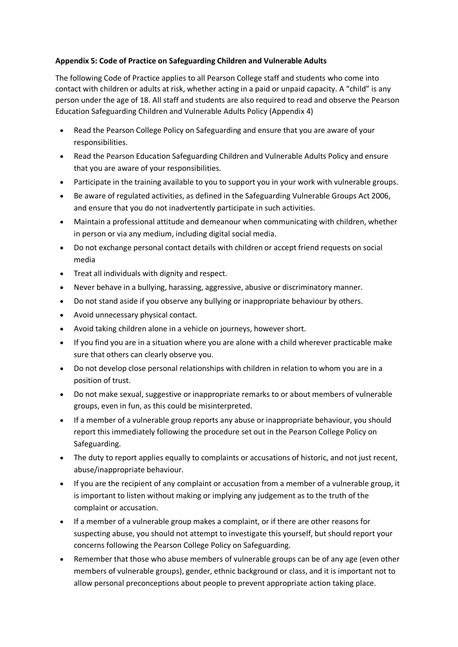# **Appendix 5: Code of Practice on Safeguarding Children and Vulnerable Adults**

The following Code of Practice applies to all Pearson College staff and students who come into contact with children or adults at risk, whether acting in a paid or unpaid capacity. A "child" is any person under the age of 18. All staff and students are also required to read and observe the Pearson Education Safeguarding Children and Vulnerable Adults Policy (Appendix 4)

- Read the Pearson College Policy on Safeguarding and ensure that you are aware of your responsibilities.
- Read the Pearson Education Safeguarding Children and Vulnerable Adults Policy and ensure that you are aware of your responsibilities.
- Participate in the training available to you to support you in your work with vulnerable groups.
- Be aware of regulated activities, as defined in the Safeguarding Vulnerable Groups Act 2006, and ensure that you do not inadvertently participate in such activities.
- Maintain a professional attitude and demeanour when communicating with children, whether in person or via any medium, including digital social media.
- Do not exchange personal contact details with children or accept friend requests on social media
- Treat all individuals with dignity and respect.
- Never behave in a bullying, harassing, aggressive, abusive or discriminatory manner.
- Do not stand aside if you observe any bullying or inappropriate behaviour by others.
- Avoid unnecessary physical contact.
- Avoid taking children alone in a vehicle on journeys, however short.
- If you find you are in a situation where you are alone with a child wherever practicable make sure that others can clearly observe you.
- Do not develop close personal relationships with children in relation to whom you are in a position of trust.
- Do not make sexual, suggestive or inappropriate remarks to or about members of vulnerable groups, even in fun, as this could be misinterpreted.
- If a member of a vulnerable group reports any abuse or inappropriate behaviour, you should report this immediately following the procedure set out in the Pearson College Policy on Safeguarding.
- The duty to report applies equally to complaints or accusations of historic, and not just recent, abuse/inappropriate behaviour.
- If you are the recipient of any complaint or accusation from a member of a vulnerable group, it is important to listen without making or implying any judgement as to the truth of the complaint or accusation.
- If a member of a vulnerable group makes a complaint, or if there are other reasons for suspecting abuse, you should not attempt to investigate this yourself, but should report your concerns following the Pearson College Policy on Safeguarding.
- Remember that those who abuse members of vulnerable groups can be of any age (even other members of vulnerable groups), gender, ethnic background or class, and it is important not to allow personal preconceptions about people to prevent appropriate action taking place.